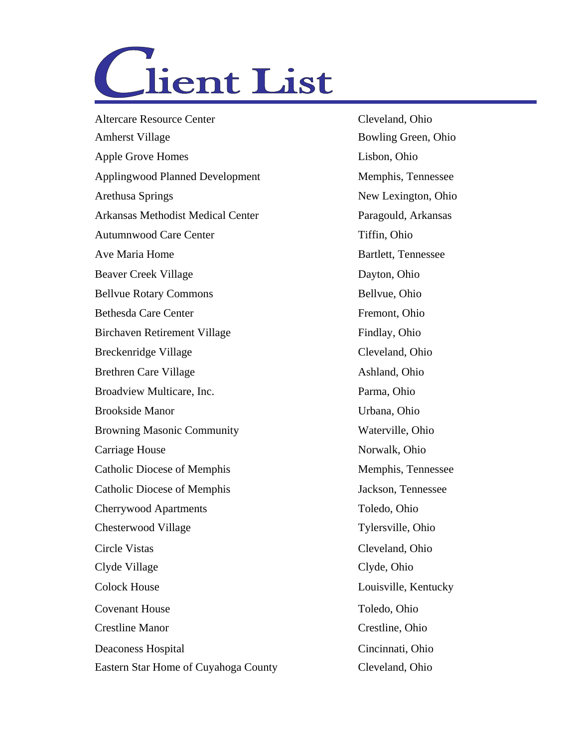

Altercare Resource Center Cleveland, Ohio Amherst Village Bowling Green, Ohio Apple Grove Homes Lisbon, Ohio Applingwood Planned Development Memphis, Tennessee Arethusa Springs New Lexington, Ohio Autumnwood Care Center Tiffin, Ohio Ave Maria Home Bartlett, Tennessee Beaver Creek Village Dayton, Ohio Bellvue Rotary Commons Bellvue, Ohio Bethesda Care Center Fremont, Ohio Birchaven Retirement Village Findlay, Ohio Breckenridge Village Cleveland, Ohio Brethren Care Village Ashland, Ohio Broadview Multicare, Inc. **Parma**, Ohio Brookside Manor Urbana, Ohio Browning Masonic Community Waterville, Ohio Catholic Diocese of Memphis Memphis, Tennessee Catholic Diocese of Memphis Jackson, Tennessee Cherrywood Apartments Toledo, Ohio Chesterwood Village Tylersville, Ohio Circle Vistas Cleveland, Ohio Clyde Village Clyde, Ohio Colock House Louisville, Kentucky Covenant House Toledo, Ohio Crestline Manor Crestline, Ohio Deaconess Hospital Cincinnati, Ohio Eastern Star Home of Cuyahoga County Cleveland, Ohio Arkansas Methodist Medical Center Paragould, Arkansas Carriage House Norwalk, Ohio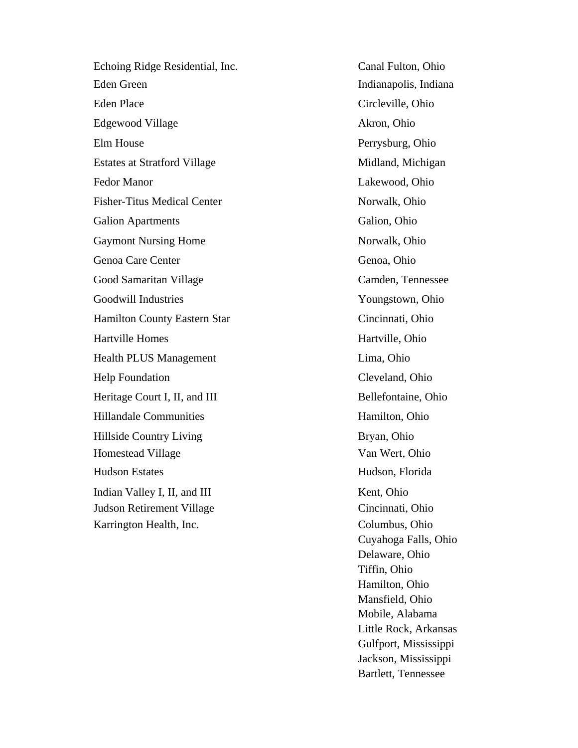Echoing Ridge Residential, Inc. Canal Fulton, Ohio Eden Green Indianapolis, Indianapolis, Indiana Eden Place Circleville, Ohio Edgewood Village Akron, Ohio Elm House Perrysburg, Ohio Estates at Stratford Village Midland, Michigan Fedor Manor Lakewood, Ohio Fisher-Titus Medical Center Norwalk, Ohio Galion Apartments Galion, Ohio Gaymont Nursing Home Norwalk, Ohio Genoa Care Center Genoa, Ohio Good Samaritan Village Camden, Tennessee Goodwill Industries Youngstown, Ohio Hamilton County Eastern Star Cincinnati, Ohio Hartville Homes Hartville, Ohio Health PLUS Management Lima, Ohio Help Foundation Cleveland, Ohio Heritage Court I, II, and III Bellefontaine, Ohio Hillandale Communities **Hamilton**, Ohio Hillside Country Living Bryan, Ohio Homestead Village Van Wert, Ohio Hudson Estates Hudson, Florida Indian Valley I, II, and III Kent, Ohio Judson Retirement Village Cincinnati, Ohio Karrington Health, Inc. Columbus, Ohio

Cuyahoga Falls, Ohio Delaware, Ohio Tiffin, Ohio Hamilton, Ohio Mansfield, Ohio Mobile, Alabama Little Rock, Arkansas Gulfport, Mississippi Jackson, Mississippi Bartlett, Tennessee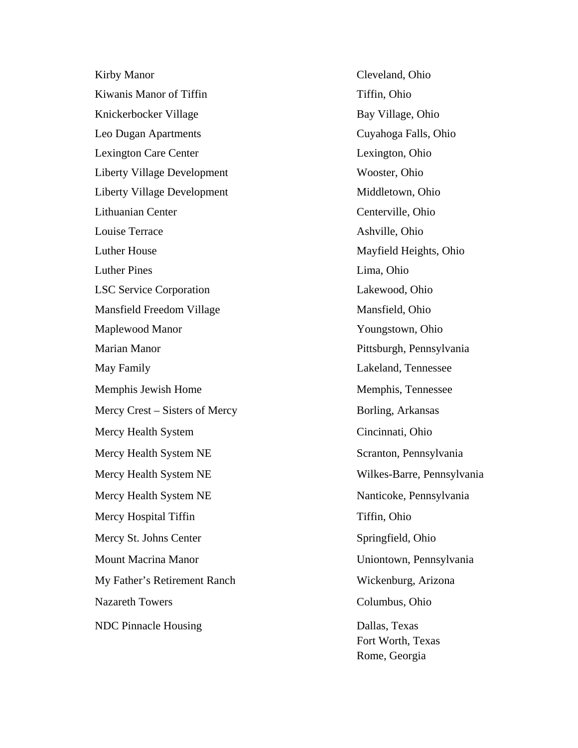Kirby Manor Cleveland, Ohio Kiwanis Manor of Tiffin Tiffin Tiffin, Ohio Knickerbocker Village Bay Village, Ohio Leo Dugan Apartments Cuyahoga Falls, Ohio Lexington Care Center Lexington, Ohio Liberty Village Development Wooster, Ohio Liberty Village Development Middletown, Ohio Lithuanian Center Center Centerville, Ohio Louise Terrace Ashville, Ohio Luther House Mayfield Heights, Ohio Luther Pines Lima, Ohio LSC Service Corporation Lakewood, Ohio Mansfield Freedom Village Mansfield, Ohio Maplewood Manor Youngstown, Ohio Marian Manor Pittsburgh, Pennsylvania May Family Lakeland, Tennessee Memphis Jewish Home Memphis, Tennessee Mercy Crest – Sisters of Mercy Borling, Arkansas Mercy Health System Cincinnati, Ohio Mercy Health System NE Scranton, Pennsylvania Mercy Health System NE Wilkes-Barre, Pennsylvania Mercy Health System NE Nanticoke, Pennsylvania Mercy Hospital Tiffin Tiffin Tiffin, Ohio Mercy St. Johns Center Springfield, Ohio Mount Macrina Manor Uniontown, Pennsylvania My Father's Retirement Ranch Wickenburg, Arizona Nazareth Towers Columbus, Ohio NDC Pinnacle Housing Dallas, Texas

Fort Worth, Texas Rome, Georgia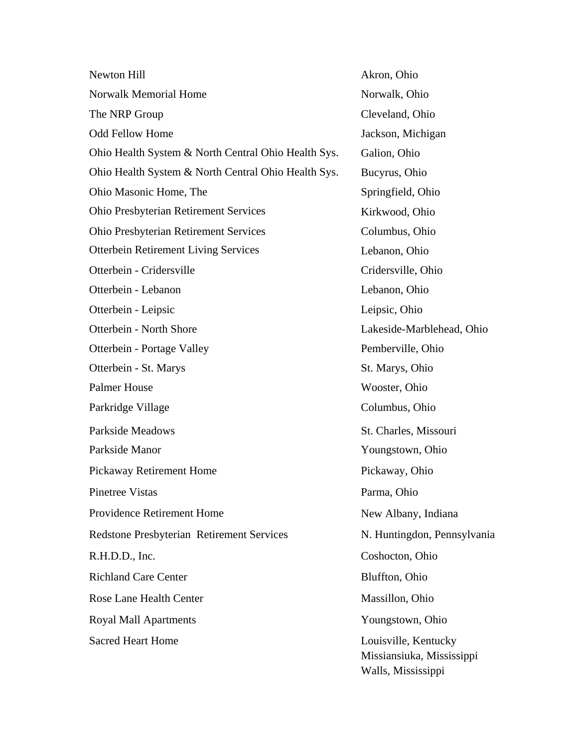| Newton Hill                                         | Akron, Ohio                                                             |
|-----------------------------------------------------|-------------------------------------------------------------------------|
| <b>Norwalk Memorial Home</b>                        | Norwalk, Ohio                                                           |
| The NRP Group                                       | Cleveland, Ohio                                                         |
| <b>Odd Fellow Home</b>                              | Jackson, Michigan                                                       |
| Ohio Health System & North Central Ohio Health Sys. | Galion, Ohio                                                            |
| Ohio Health System & North Central Ohio Health Sys. | Bucyrus, Ohio                                                           |
| Ohio Masonic Home, The                              | Springfield, Ohio                                                       |
| Ohio Presbyterian Retirement Services               | Kirkwood, Ohio                                                          |
| <b>Ohio Presbyterian Retirement Services</b>        | Columbus, Ohio                                                          |
| <b>Otterbein Retirement Living Services</b>         | Lebanon, Ohio                                                           |
| Otterbein - Cridersville                            | Cridersville, Ohio                                                      |
| Otterbein - Lebanon                                 | Lebanon, Ohio                                                           |
| Otterbein - Leipsic                                 | Leipsic, Ohio                                                           |
| Otterbein - North Shore                             | Lakeside-Marblehead, Ohio                                               |
| Otterbein - Portage Valley                          | Pemberville, Ohio                                                       |
| Otterbein - St. Marys                               | St. Marys, Ohio                                                         |
| <b>Palmer House</b>                                 | Wooster, Ohio                                                           |
| Parkridge Village                                   | Columbus, Ohio                                                          |
| <b>Parkside Meadows</b>                             | St. Charles, Missouri                                                   |
| Parkside Manor                                      | Youngstown, Ohio                                                        |
| Pickaway Retirement Home                            | Pickaway, Ohio                                                          |
| Pinetree Vistas                                     | Parma, Ohio                                                             |
| <b>Providence Retirement Home</b>                   | New Albany, Indiana                                                     |
| <b>Redstone Presbyterian Retirement Services</b>    | N. Huntingdon, Pennsylvania                                             |
| R.H.D.D., Inc.                                      | Coshocton, Ohio                                                         |
| <b>Richland Care Center</b>                         | Bluffton, Ohio                                                          |
| <b>Rose Lane Health Center</b>                      | Massillon, Ohio                                                         |
| <b>Royal Mall Apartments</b>                        | Youngstown, Ohio                                                        |
| <b>Sacred Heart Home</b>                            | Louisville, Kentucky<br>Missiansiuka, Mississippi<br>Walls, Mississippi |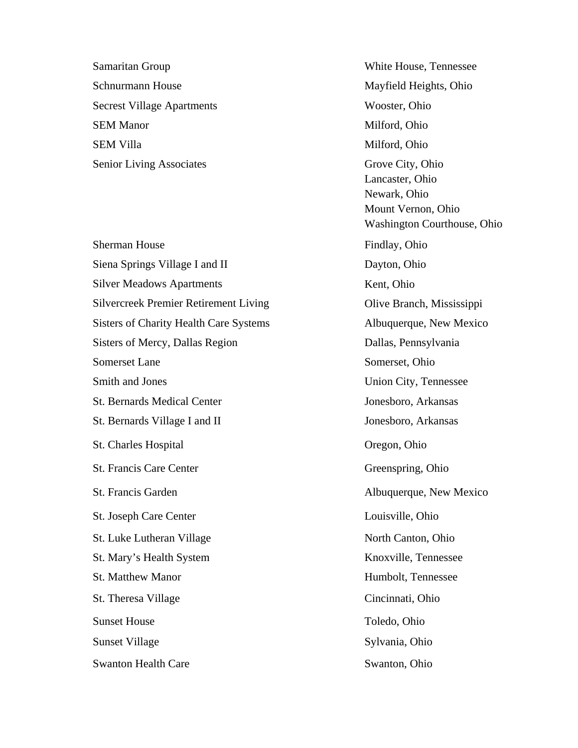Samaritan Group White House, Tennessee Schnurmann House Mayfield Heights, Ohio Secrest Village Apartments Wooster, Ohio SEM Manor Milford, Ohio SEM Villa Milford, Ohio Senior Living Associates Grove City, Ohio

Sherman House Findlay, Ohio Siena Springs Village I and II Dayton, Ohio Silver Meadows Apartments Kent, Ohio Silvercreek Premier Retirement Living Olive Branch, Mississippi Sisters of Charity Health Care Systems Albuquerque, New Mexico Sisters of Mercy, Dallas Region Dallas, Pennsylvania Somerset Lane Somerset, Ohio Smith and Jones Union City, Tennessee St. Bernards Medical Center Jonesboro, Arkansas St. Bernards Village I and II Jonesboro, Arkansas St. Charles Hospital Oregon, Ohio St. Francis Care Center Greenspring, Ohio St. Francis Garden Albuquerque, New Mexico St. Joseph Care Center Louisville, Ohio St. Luke Lutheran Village North Canton, Ohio St. Mary's Health System Knoxville, Tennessee St. Matthew Manor **Humbolt**, Tennessee St. Theresa Village Cincinnati, Ohio Sunset House Toledo, Ohio Sunset Village Sylvania, Ohio Swanton Health Care Swanton, Ohio

Lancaster, Ohio Newark, Ohio Mount Vernon, Ohio Washington Courthouse, Ohio